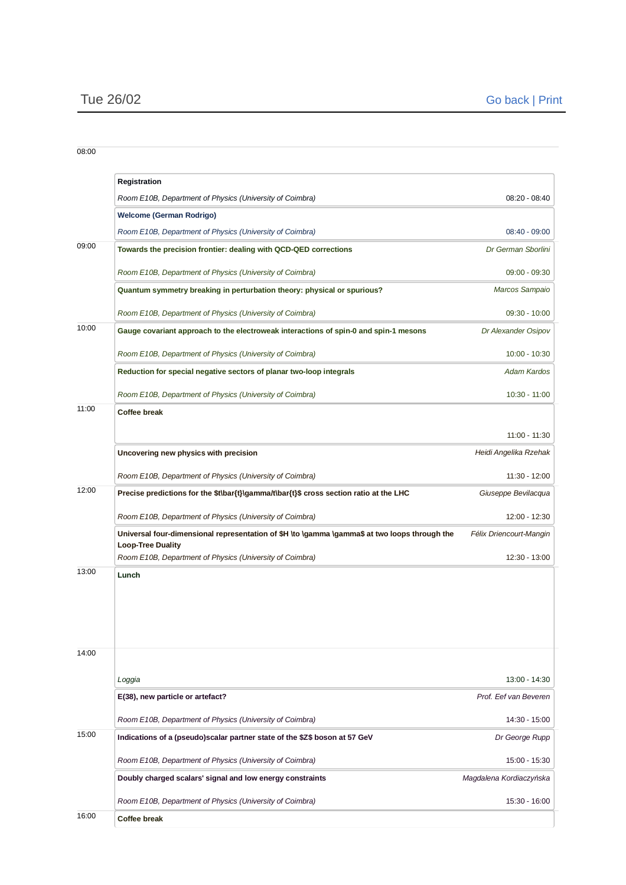|       | Registration                                                                                                              |                         |
|-------|---------------------------------------------------------------------------------------------------------------------------|-------------------------|
|       | Room E10B, Department of Physics (University of Coimbra)                                                                  | 08:20 - 08:40           |
|       | <b>Welcome (German Rodrigo)</b>                                                                                           |                         |
|       | Room E10B, Department of Physics (University of Coimbra)                                                                  | 08:40 - 09:00           |
| 09:00 | Towards the precision frontier: dealing with QCD-QED corrections                                                          | Dr German Sborlini      |
|       | Room E10B, Department of Physics (University of Coimbra)                                                                  | 09:00 - 09:30           |
|       | <b>Ouantum symmetry breaking in perturbation theory: physical or spurious?</b>                                            | Marcos Sampaio          |
|       | Room E10B, Department of Physics (University of Coimbra)                                                                  | 09:30 - 10:00           |
| 10:00 | Gauge covariant approach to the electroweak interactions of spin-0 and spin-1 mesons                                      | Dr Alexander Osipov     |
|       | Room E10B, Department of Physics (University of Coimbra)                                                                  | $10:00 - 10:30$         |
|       | Reduction for special negative sectors of planar two-loop integrals                                                       | <b>Adam Kardos</b>      |
|       | Room E10B, Department of Physics (University of Coimbra)                                                                  | 10:30 - 11:00           |
| 11:00 | <b>Coffee break</b>                                                                                                       |                         |
|       |                                                                                                                           | 11:00 - 11:30           |
|       | Uncovering new physics with precision                                                                                     | Heidi Angelika Rzehak   |
|       | Room E10B, Department of Physics (University of Coimbra)                                                                  | 11:30 - 12:00           |
| 12:00 | Precise predictions for the \$t\bar{t}\gamma/t\bar{t}\$ cross section ratio at the LHC                                    | Giuseppe Bevilacqua     |
|       | Room E10B, Department of Physics (University of Coimbra)                                                                  | 12:00 - 12:30           |
|       | Universal four-dimensional representation of \$H \to \gamma \gamma\$ at two loops through the<br><b>Loop-Tree Duality</b> | Félix Driencourt-Mangin |
|       | Room E10B, Department of Physics (University of Coimbra)                                                                  | 12:30 - 13:00           |
| 13:00 | Lunch                                                                                                                     |                         |
| 14:00 |                                                                                                                           |                         |
|       | Loggia                                                                                                                    | 13:00 - 14:30           |
|       | E(38), new particle or artefact?                                                                                          | Prof. Eef van Beveren   |
|       | Room E10B, Department of Physics (University of Coimbra)                                                                  | 14:30 - 15:00           |
| 15:00 | Indications of a (pseudo) scalar partner state of the \$Z\$ boson at 57 GeV                                               | Dr George Rupp          |
|       | Room E10B, Department of Physics (University of Coimbra)                                                                  | 15:00 - 15:30           |
|       | Doubly charged scalars' signal and low energy constraints                                                                 | Magdalena Kordiaczyńska |
|       | Room E10B, Department of Physics (University of Coimbra)                                                                  | 15:30 - 16:00           |
| 16:00 | <b>Coffee break</b>                                                                                                       |                         |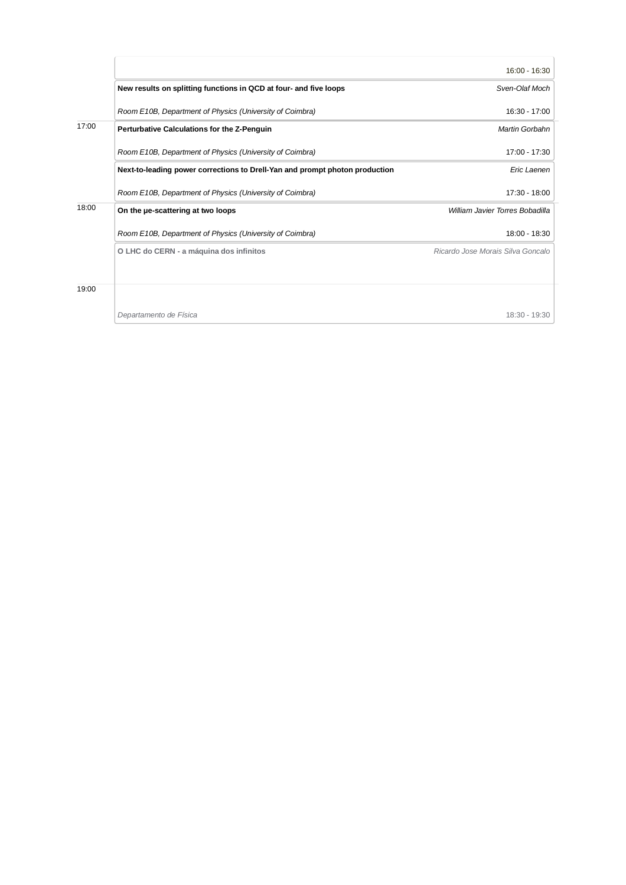|       |                                                                             | 16:00 - 16:30                     |
|-------|-----------------------------------------------------------------------------|-----------------------------------|
|       | New results on splitting functions in QCD at four- and five loops           | Sven-Olaf Moch                    |
|       | Room E10B, Department of Physics (University of Coimbra)                    | $16:30 - 17:00$                   |
| 17:00 | Perturbative Calculations for the Z-Penguin                                 | Martin Gorbahn                    |
|       | Room E10B, Department of Physics (University of Coimbra)                    | 17:00 - 17:30                     |
|       | Next-to-leading power corrections to Drell-Yan and prompt photon production | Eric Laenen                       |
|       | Room E10B, Department of Physics (University of Coimbra)                    | 17:30 - 18:00                     |
| 18:00 | On the ue-scattering at two loops                                           | William Javier Torres Bobadilla   |
|       | Room E10B, Department of Physics (University of Coimbra)                    | 18:00 - 18:30                     |
|       | O LHC do CERN - a máquina dos infinitos                                     | Ricardo Jose Morais Silva Goncalo |
|       |                                                                             |                                   |
| 19:00 |                                                                             |                                   |
|       | Departamento de Física                                                      | 18:30 - 19:30                     |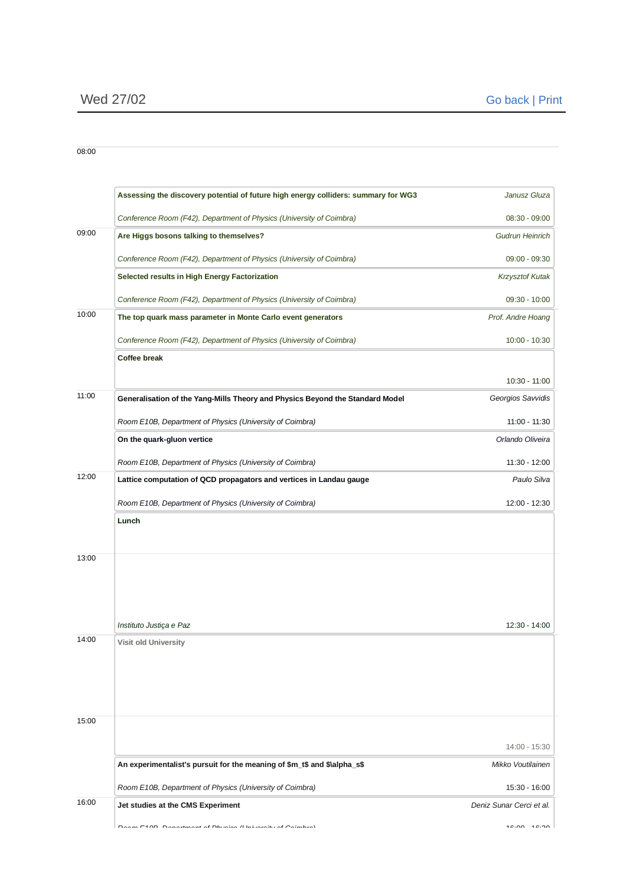|       | Assessing the discovery potential of future high energy colliders: summary for WG3 | Janusz Gluza             |
|-------|------------------------------------------------------------------------------------|--------------------------|
|       | Conference Room (F42), Department of Physics (University of Coimbra)               | 08:30 - 09:00            |
| 09:00 | Are Higgs bosons talking to themselves?                                            | <b>Gudrun Heinrich</b>   |
|       | Conference Room (F42), Department of Physics (University of Coimbra)               | 09:00 - 09:30            |
|       | <b>Selected results in High Energy Factorization</b>                               | <b>Krzysztof Kutak</b>   |
|       | Conference Room (F42), Department of Physics (University of Coimbra)               | 09:30 - 10:00            |
| 10:00 | The top quark mass parameter in Monte Carlo event generators                       | Prof. Andre Hoang        |
|       | Conference Room (F42), Department of Physics (University of Coimbra)               | $10:00 - 10:30$          |
|       | <b>Coffee break</b>                                                                |                          |
|       |                                                                                    | 10:30 - 11:00            |
| 11:00 | Generalisation of the Yang-Mills Theory and Physics Beyond the Standard Model      | Georgios Savvidis        |
|       | Room E10B, Department of Physics (University of Coimbra)                           | 11:00 - 11:30            |
|       | On the quark-gluon vertice                                                         | Orlando Oliveira         |
|       | Room E10B, Department of Physics (University of Coimbra)                           | 11:30 - 12:00            |
| 12:00 | Lattice computation of QCD propagators and vertices in Landau gauge                | Paulo Silva              |
|       | Room E10B, Department of Physics (University of Coimbra)                           | 12:00 - 12:30            |
|       | Lunch                                                                              |                          |
|       |                                                                                    |                          |
| 13:00 |                                                                                    |                          |
|       |                                                                                    |                          |
|       |                                                                                    |                          |
|       | Instituto Justiça e Paz                                                            | 12:30 - 14:00            |
| 14:00 | <b>Visit old University</b>                                                        |                          |
|       |                                                                                    |                          |
|       |                                                                                    |                          |
|       |                                                                                    |                          |
| 15:00 |                                                                                    |                          |
|       |                                                                                    | 14:00 - 15:30            |
|       | An experimentalist's pursuit for the meaning of \$m_t\$ and \$\alpha_s\$           | Mikko Voutilainen        |
|       | Room E10B, Department of Physics (University of Coimbra)                           | 15:30 - 16:00            |
| 16:00 | Jet studies at the CMS Experiment                                                  | Deniz Sunar Cerci et al. |
|       | فسيروز والمتصدد والمستحدا المراسي                                                  | $10.00 - 10.00$          |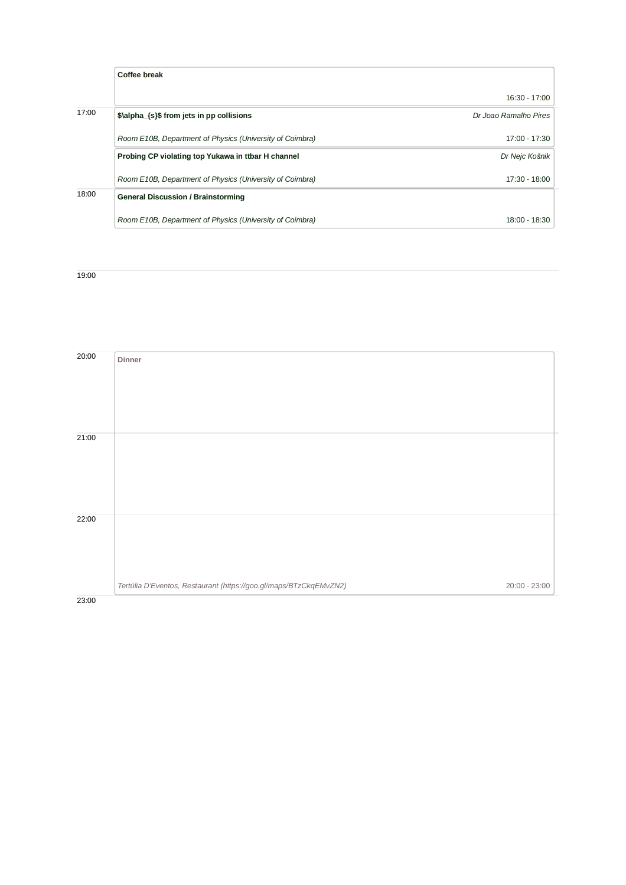|       | Coffee break                                             |                       |
|-------|----------------------------------------------------------|-----------------------|
|       |                                                          | 16:30 - 17:00         |
| 17:00 | \$\alpha {s}\$ from jets in pp collisions                | Dr Joao Ramalho Pires |
|       | Room E10B, Department of Physics (University of Coimbra) | $17:00 - 17:30$       |
|       | Probing CP violating top Yukawa in ttbar H channel       | Dr Nejc Košnik        |
|       | Room E10B, Department of Physics (University of Coimbra) | $17:30 - 18:00$       |
| 18:00 | <b>General Discussion / Brainstorming</b>                |                       |
|       | Room E10B, Department of Physics (University of Coimbra) | 18:00 - 18:30         |